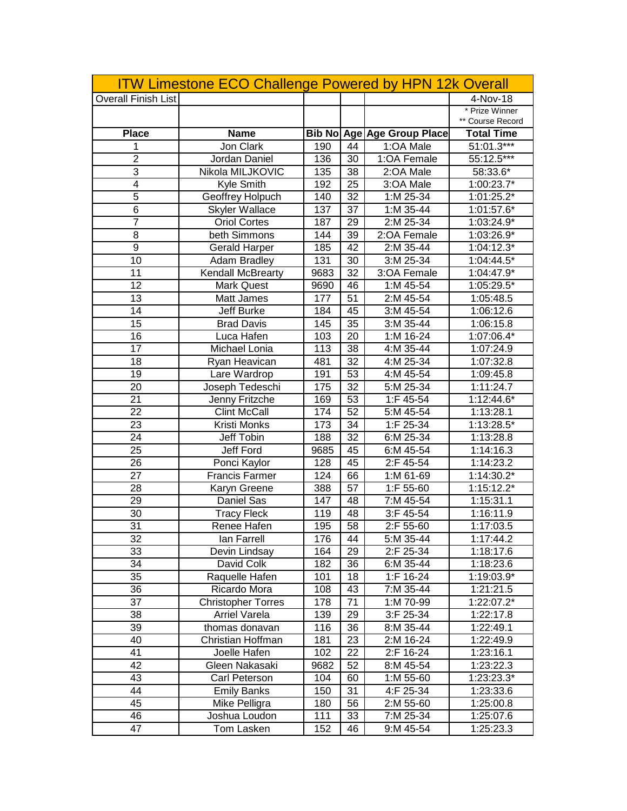| <b>Overall Finish List</b> |                           |      |    | <b>ITW Limestone ECO Challenge Powered by HPN 12k Overall</b> | 4-Nov-18                           |
|----------------------------|---------------------------|------|----|---------------------------------------------------------------|------------------------------------|
|                            |                           |      |    |                                                               | * Prize Winner<br>** Course Record |
| <b>Place</b>               | <b>Name</b>               |      |    | <b>Bib No Age Age Group Place</b>                             | <b>Total Time</b>                  |
| 1                          | Jon Clark                 | 190  | 44 | 1:OA Male                                                     | 51:01.3***                         |
| $\overline{2}$             | Jordan Daniel             | 136  | 30 | 1:OA Female                                                   | 55:12.5***                         |
| 3                          | Nikola MILJKOVIC          | 135  | 38 | 2:OA Male                                                     | 58:33.6*                           |
| $\overline{4}$             | Kyle Smith                | 192  | 25 | 3:OA Male                                                     | $1:00:23.7*$                       |
| $\overline{5}$             | Geoffrey Holpuch          | 140  | 32 | 1:M 25-34                                                     | $1:01:25.2*$                       |
| 6                          | <b>Skyler Wallace</b>     | 137  | 37 | 1:M 35-44                                                     | 1:01:57.6*                         |
| $\overline{7}$             | <b>Oriol Cortes</b>       | 187  | 29 | 2:M 25-34                                                     | $1:03:24.9*$                       |
| 8                          | beth Simmons              | 144  | 39 | 2:OA Female                                                   | 1:03:26.9*                         |
| $\overline{9}$             | <b>Gerald Harper</b>      | 185  | 42 | 2:M 35-44                                                     | 1:04:12.3*                         |
| 10                         | Adam Bradley              | 131  | 30 | 3:M 25-34                                                     | 1:04:44.5*                         |
| 11                         | Kendall McBrearty         | 9683 | 32 | 3:OA Female                                                   | 1:04:47.9*                         |
| 12                         | <b>Mark Quest</b>         | 9690 | 46 | 1:M 45-54                                                     | 1:05:29.5*                         |
| 13                         | Matt James                | 177  | 51 | 2:M 45-54                                                     | 1:05:48.5                          |
| 14                         | Jeff Burke                | 184  | 45 | 3:M 45-54                                                     | 1:06:12.6                          |
| 15                         | <b>Brad Davis</b>         | 145  | 35 | 3:M 35-44                                                     | 1:06:15.8                          |
| 16                         | Luca Hafen                | 103  | 20 | 1:M 16-24                                                     | 1:07:06.4*                         |
| 17                         | Michael Lonia             | 113  | 38 | 4:M 35-44                                                     | 1:07:24.9                          |
| 18                         | Ryan Heavican             | 481  | 32 | 4:M 25-34                                                     | 1:07:32.8                          |
| 19                         | Lare Wardrop              | 191  | 53 | 4:M 45-54                                                     | 1:09:45.8                          |
| 20                         | Joseph Tedeschi           | 175  | 32 | 5:M 25-34                                                     | 1:11:24.7                          |
| 21                         | Jenny Fritzche            | 169  | 53 | 1:F 45-54                                                     | 1:12:44.6*                         |
| 22                         | <b>Clint McCall</b>       | 174  | 52 | 5:M 45-54                                                     | 1:13:28.1                          |
| 23                         | Kristi Monks              | 173  | 34 | 1:F 25-34                                                     | 1:13:28.5*                         |
| 24                         | Jeff Tobin                | 188  | 32 | 6:M 25-34                                                     | 1:13:28.8                          |
| 25                         | Jeff Ford                 | 9685 | 45 | 6:M 45-54                                                     | 1:14:16.3                          |
| 26                         | Ponci Kaylor              | 128  | 45 | 2:F 45-54                                                     | 1:14:23.2                          |
| 27                         | <b>Francis Farmer</b>     | 124  | 66 | 1:M 61-69                                                     | 1:14:30.2*                         |
| 28                         | Karyn Greene              | 388  | 57 | 1:F 55-60                                                     | 1:15:12.2*                         |
| 29                         | Daniel Sas                | 147  | 48 | 7:M 45-54                                                     | 1:15:31.1                          |
| 30                         | <b>Tracy Fleck</b>        | 119  | 48 | 3:F 45-54                                                     | 1:16:11.9                          |
| 31                         | Renee Hafen               | 195  | 58 | 2:F 55-60                                                     | 1:17:03.5                          |
| 32                         | lan Farrell               | 176  | 44 | 5:M 35-44                                                     | 1:17:44.2                          |
| 33                         | Devin Lindsay             | 164  | 29 | 2:F 25-34                                                     | 1:18:17.6                          |
| 34                         | David Colk                | 182  | 36 | $6:M$ 35-44                                                   | 1:18:23.6                          |
| 35                         | Raquelle Hafen            | 101  | 18 | 1:F 16-24                                                     | 1:19:03.9*                         |
| 36                         | Ricardo Mora              | 108  | 43 | 7:M 35-44                                                     | 1:21:21.5                          |
| 37                         | <b>Christopher Torres</b> | 178  | 71 | 1:M 70-99                                                     | 1:22:07.2*                         |
| 38                         | <b>Arriel Varela</b>      | 139  | 29 | 3:F 25-34                                                     | 1:22:17.8                          |
| 39                         | thomas donavan            | 116  | 36 | 8:M 35-44                                                     | 1:22:49.1                          |
| 40                         | Christian Hoffman         | 181  | 23 | 2:M 16-24                                                     | 1:22:49.9                          |
| 41                         | Joelle Hafen              | 102  | 22 | 2:F 16-24                                                     | 1:23:16.1                          |
| 42                         | Gleen Nakasaki            | 9682 | 52 | 8:M 45-54                                                     | 1:23:22.3                          |
| 43                         | Carl Peterson             | 104  | 60 | 1:M 55-60                                                     | 1:23:23.3*                         |
| 44                         | <b>Emily Banks</b>        | 150  | 31 | 4:F 25-34                                                     | 1:23:33.6                          |
| 45                         | Mike Pelligra             | 180  | 56 | 2:M 55-60                                                     | 1:25:00.8                          |
| 46                         | Joshua Loudon             | 111  | 33 | 7:M 25-34                                                     | 1:25:07.6                          |
| 47                         | Tom Lasken                | 152  | 46 | 9:M 45-54                                                     | 1:25:23.3                          |